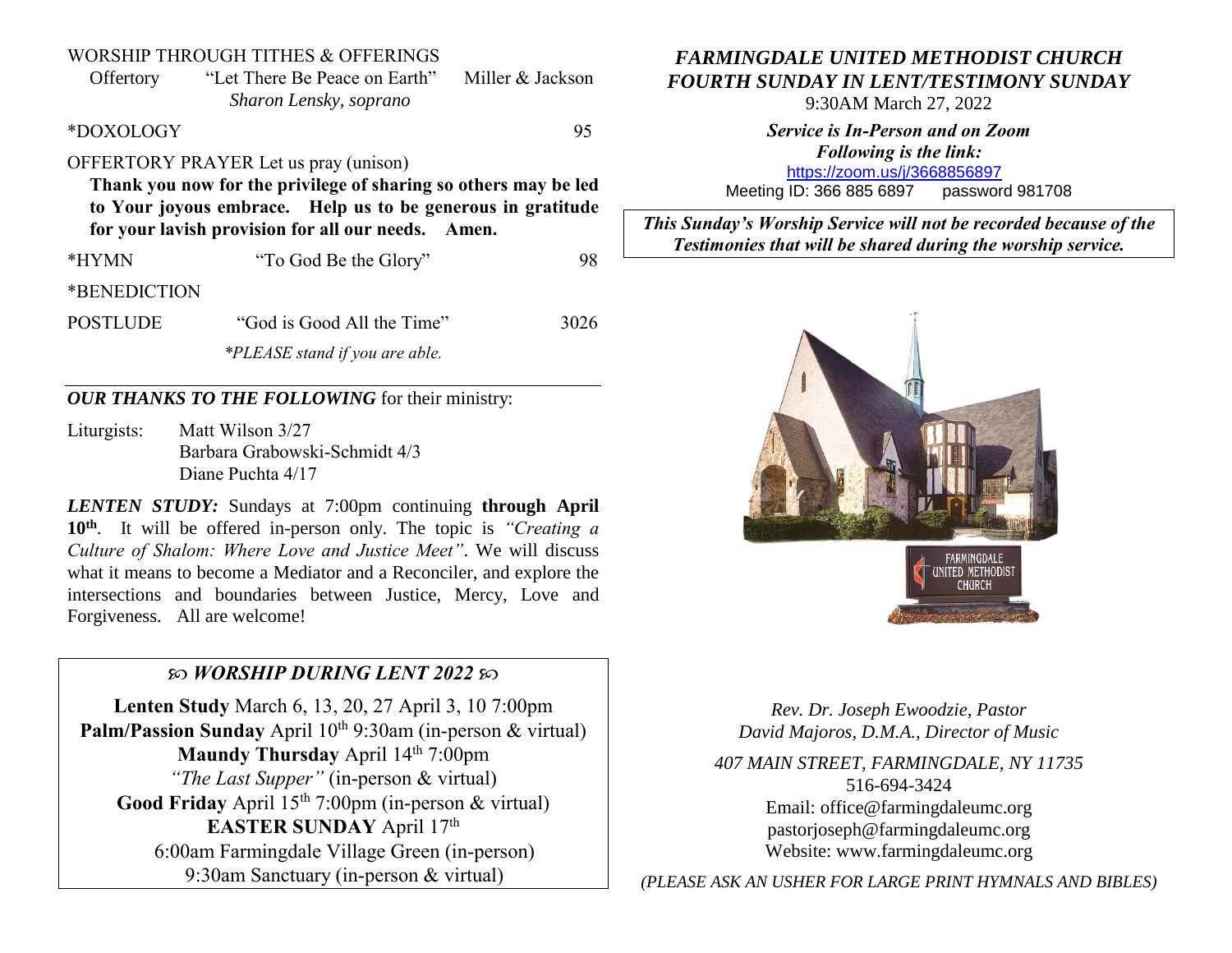#### WORSHIP THROUGH TITHES & OFFERINGS

Offertory "Let There Be Peace on Earth" Miller & Jackson *Sharon Lensky, soprano*

\*DOXOLOGY 95

## OFFERTORY PRAYER Let us pray (unison)

**Thank you now for the privilege of sharing so others may be led to Your joyous embrace. Help us to be generous in gratitude for your lavish provision for all our needs. Amen.**

\*HYMN "To God Be the Glory" 98

\*BENEDICTION

POSTLUDE "God is Good All the Time" 3026 *\*PLEASE stand if you are able.*

### *OUR THANKS TO THE FOLLOWING* for their ministry:

Liturgists: Matt Wilson 3/27 Barbara Grabowski-Schmidt 4/3 Diane Puchta 4/17

*LENTEN STUDY:* Sundays at 7:00pm continuing **through April 10th** . It will be offered in-person only. The topic is *"Creating a Culture of Shalom: Where Love and Justice Meet"*. We will discuss what it means to become a Mediator and a Reconciler, and explore the intersections and boundaries between Justice, Mercy, Love and Forgiveness. All are welcome!

#### *WORSHIP DURING LENT 2022*

**Lenten Study** March 6, 13, 20, 27 April 3, 10 7:00pm **Palm/Passion Sunday** April 10<sup>th</sup> 9:30am (in-person & virtual) **Maundy Thursday** April 14<sup>th</sup> 7:00pm *"The Last Supper"* (in-person & virtual) Good Friday April 15<sup>th</sup> 7:00pm (in-person & virtual) EASTER SUNDAY April 17<sup>th</sup> 6:00am Farmingdale Village Green (in-person) 9:30am Sanctuary (in-person & virtual)

# *FARMINGDALE UNITED METHODIST CHURCH FOURTH SUNDAY IN LENT/TESTIMONY SUNDAY*

9:30AM March 27, 2022

*Service is In-Person and on Zoom Following is the link:* <https://zoom.us/j/3668856897>

Meeting ID: 366 885 6897 password 981708

*This Sunday's Worship Service will not be recorded because of the Testimonies that will be shared during the worship service.*



*Rev. Dr. Joseph Ewoodzie, Pastor David Majoros, D.M.A., Director of Music*

*407 MAIN STREET, FARMINGDALE, NY 11735* 516-694-3424 Email: [office@farmingdaleumc.org](mailto:office@farmingdaleumc.org) pastorjoseph@farmingdaleumc.org Website: www.farmingdaleumc.org

*(PLEASE ASK AN USHER FOR LARGE PRINT HYMNALS AND BIBLES)*